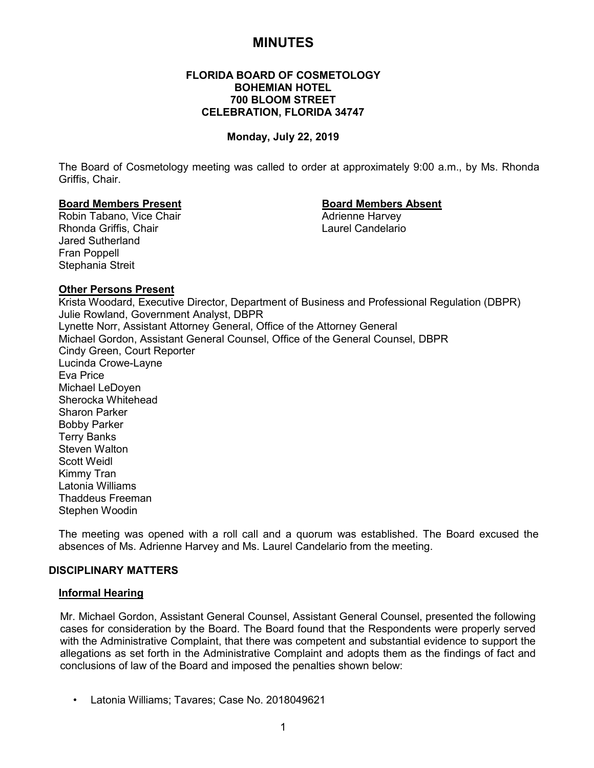# **MINUTES**

# **FLORIDA BOARD OF COSMETOLOGY BOHEMIAN HOTEL 700 BLOOM STREET CELEBRATION, FLORIDA 34747**

#### **Monday, July 22, 2019**

The Board of Cosmetology meeting was called to order at approximately 9:00 a.m., by Ms. Rhonda Griffis, Chair.

# **Board Members Present Board Members Absent**

Robin Tabano, Vice Chair Rhonda Griffis, Chair Laurel Candelario Jared Sutherland Fran Poppell Stephania Streit

#### **Other Persons Present**

Krista Woodard, Executive Director, Department of Business and Professional Regulation (DBPR) Julie Rowland, Government Analyst, DBPR Lynette Norr, Assistant Attorney General, Office of the Attorney General Michael Gordon, Assistant General Counsel, Office of the General Counsel, DBPR Cindy Green, Court Reporter Lucinda Crowe-Layne Eva Price Michael LeDoyen Sherocka Whitehead Sharon Parker Bobby Parker Terry Banks Steven Walton Scott Weidl Kimmy Tran Latonia Williams Thaddeus Freeman Stephen Woodin

The meeting was opened with a roll call and a quorum was established. The Board excused the absences of Ms. Adrienne Harvey and Ms. Laurel Candelario from the meeting.

# **DISCIPLINARY MATTERS**

#### **Informal Hearing**

Mr. Michael Gordon, Assistant General Counsel, Assistant General Counsel, presented the following cases for consideration by the Board. The Board found that the Respondents were properly served with the Administrative Complaint, that there was competent and substantial evidence to support the allegations as set forth in the Administrative Complaint and adopts them as the findings of fact and conclusions of law of the Board and imposed the penalties shown below:

• Latonia Williams; Tavares; Case No. 2018049621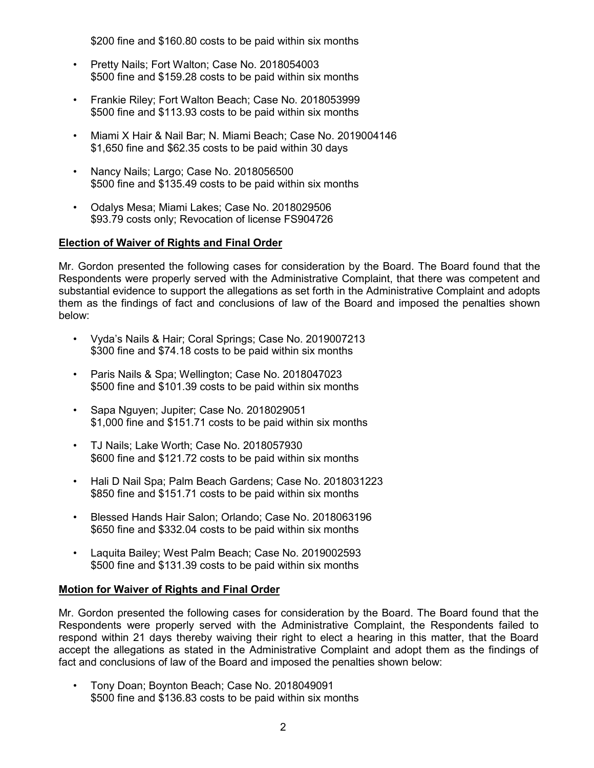\$200 fine and \$160.80 costs to be paid within six months

- Pretty Nails; Fort Walton; Case No. 2018054003 \$500 fine and \$159.28 costs to be paid within six months
- Frankie Riley; Fort Walton Beach; Case No. 2018053999 \$500 fine and \$113.93 costs to be paid within six months
- Miami X Hair & Nail Bar; N. Miami Beach; Case No. 2019004146 \$1,650 fine and \$62.35 costs to be paid within 30 days
- Nancy Nails; Largo; Case No. 2018056500 \$500 fine and \$135.49 costs to be paid within six months
- Odalys Mesa; Miami Lakes; Case No. 2018029506 \$93.79 costs only; Revocation of license FS904726

# **Election of Waiver of Rights and Final Order**

Mr. Gordon presented the following cases for consideration by the Board. The Board found that the Respondents were properly served with the Administrative Complaint, that there was competent and substantial evidence to support the allegations as set forth in the Administrative Complaint and adopts them as the findings of fact and conclusions of law of the Board and imposed the penalties shown below:

- Vyda's Nails & Hair; Coral Springs; Case No. 2019007213 \$300 fine and \$74.18 costs to be paid within six months
- Paris Nails & Spa; Wellington; Case No. 2018047023 \$500 fine and \$101.39 costs to be paid within six months
- Sapa Nguyen; Jupiter; Case No. 2018029051 \$1,000 fine and \$151.71 costs to be paid within six months
- TJ Nails; Lake Worth; Case No. 2018057930 \$600 fine and \$121.72 costs to be paid within six months
- Hali D Nail Spa; Palm Beach Gardens; Case No. 2018031223 \$850 fine and \$151.71 costs to be paid within six months
- Blessed Hands Hair Salon; Orlando; Case No. 2018063196 \$650 fine and \$332.04 costs to be paid within six months
- Laquita Bailey; West Palm Beach; Case No. 2019002593 \$500 fine and \$131.39 costs to be paid within six months

# **Motion for Waiver of Rights and Final Order**

Mr. Gordon presented the following cases for consideration by the Board. The Board found that the Respondents were properly served with the Administrative Complaint, the Respondents failed to respond within 21 days thereby waiving their right to elect a hearing in this matter, that the Board accept the allegations as stated in the Administrative Complaint and adopt them as the findings of fact and conclusions of law of the Board and imposed the penalties shown below:

• Tony Doan; Boynton Beach; Case No. 2018049091 \$500 fine and \$136.83 costs to be paid within six months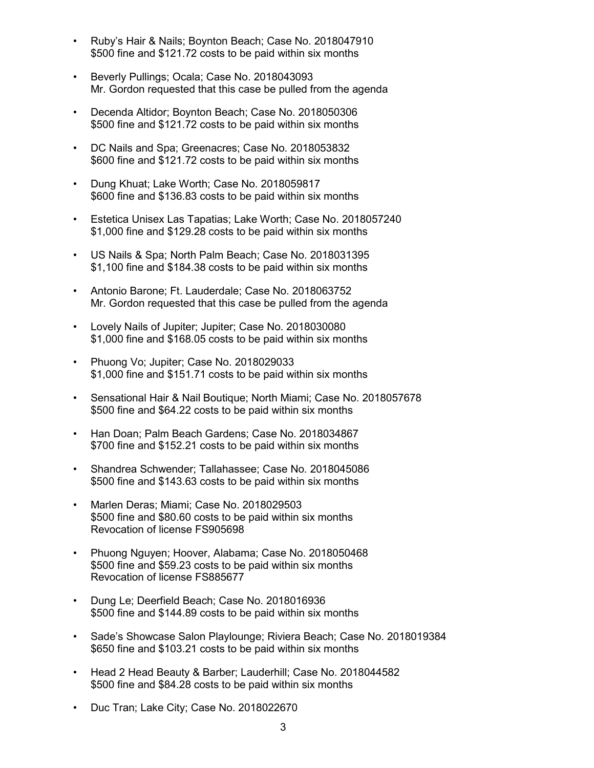- Ruby's Hair & Nails; Boynton Beach; Case No. 2018047910 \$500 fine and \$121.72 costs to be paid within six months
- Beverly Pullings; Ocala; Case No. 2018043093 Mr. Gordon requested that this case be pulled from the agenda
- Decenda Altidor; Boynton Beach; Case No. 2018050306 \$500 fine and \$121.72 costs to be paid within six months
- DC Nails and Spa; Greenacres; Case No. 2018053832 \$600 fine and \$121.72 costs to be paid within six months
- Dung Khuat; Lake Worth; Case No. 2018059817 \$600 fine and \$136.83 costs to be paid within six months
- Estetica Unisex Las Tapatias; Lake Worth; Case No. 2018057240 \$1,000 fine and \$129.28 costs to be paid within six months
- US Nails & Spa; North Palm Beach; Case No. 2018031395 \$1,100 fine and \$184.38 costs to be paid within six months
- Antonio Barone; Ft. Lauderdale; Case No. 2018063752 Mr. Gordon requested that this case be pulled from the agenda
- Lovely Nails of Jupiter; Jupiter; Case No. 2018030080 \$1,000 fine and \$168.05 costs to be paid within six months
- Phuong Vo; Jupiter; Case No. 2018029033 \$1,000 fine and \$151.71 costs to be paid within six months
- Sensational Hair & Nail Boutique; North Miami; Case No. 2018057678 \$500 fine and \$64.22 costs to be paid within six months
- Han Doan; Palm Beach Gardens; Case No. 2018034867 \$700 fine and \$152.21 costs to be paid within six months
- Shandrea Schwender; Tallahassee; Case No. 2018045086 \$500 fine and \$143.63 costs to be paid within six months
- Marlen Deras; Miami; Case No. 2018029503 \$500 fine and \$80.60 costs to be paid within six months Revocation of license FS905698
- Phuong Nguyen; Hoover, Alabama; Case No. 2018050468 \$500 fine and \$59.23 costs to be paid within six months Revocation of license FS885677
- Dung Le; Deerfield Beach; Case No. 2018016936 \$500 fine and \$144.89 costs to be paid within six months
- Sade's Showcase Salon Playlounge; Riviera Beach; Case No. 2018019384 \$650 fine and \$103.21 costs to be paid within six months
- Head 2 Head Beauty & Barber; Lauderhill; Case No. 2018044582 \$500 fine and \$84.28 costs to be paid within six months
- Duc Tran; Lake City; Case No. 2018022670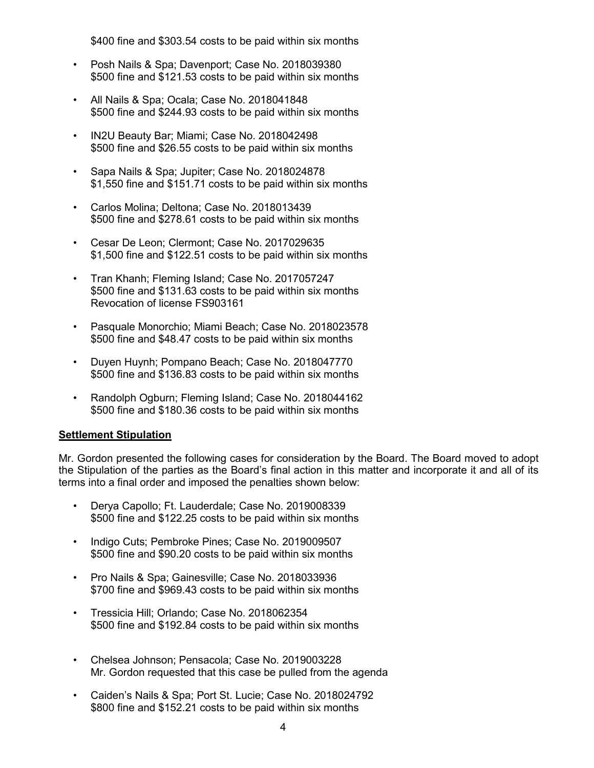\$400 fine and \$303.54 costs to be paid within six months

- Posh Nails & Spa; Davenport; Case No. 2018039380 \$500 fine and \$121.53 costs to be paid within six months
- All Nails & Spa; Ocala; Case No. 2018041848 \$500 fine and \$244.93 costs to be paid within six months
- IN2U Beauty Bar; Miami; Case No. 2018042498 \$500 fine and \$26.55 costs to be paid within six months
- Sapa Nails & Spa; Jupiter; Case No. 2018024878 \$1,550 fine and \$151.71 costs to be paid within six months
- Carlos Molina; Deltona; Case No. 2018013439 \$500 fine and \$278.61 costs to be paid within six months
- Cesar De Leon; Clermont; Case No. 2017029635 \$1,500 fine and \$122.51 costs to be paid within six months
- Tran Khanh; Fleming Island; Case No. 2017057247 \$500 fine and \$131.63 costs to be paid within six months Revocation of license FS903161
- Pasquale Monorchio; Miami Beach; Case No. 2018023578 \$500 fine and \$48.47 costs to be paid within six months
- Duyen Huynh; Pompano Beach; Case No. 2018047770 \$500 fine and \$136.83 costs to be paid within six months
- Randolph Ogburn; Fleming Island; Case No. 2018044162 \$500 fine and \$180.36 costs to be paid within six months

# **Settlement Stipulation**

Mr. Gordon presented the following cases for consideration by the Board. The Board moved to adopt the Stipulation of the parties as the Board's final action in this matter and incorporate it and all of its terms into a final order and imposed the penalties shown below:

- Derya Capollo; Ft. Lauderdale; Case No. 2019008339 \$500 fine and \$122.25 costs to be paid within six months
- Indigo Cuts; Pembroke Pines; Case No. 2019009507 \$500 fine and \$90.20 costs to be paid within six months
- Pro Nails & Spa; Gainesville; Case No. 2018033936 \$700 fine and \$969.43 costs to be paid within six months
- Tressicia Hill; Orlando; Case No. 2018062354 \$500 fine and \$192.84 costs to be paid within six months
- Chelsea Johnson; Pensacola; Case No. 2019003228 Mr. Gordon requested that this case be pulled from the agenda
- Caiden's Nails & Spa; Port St. Lucie; Case No. 2018024792 \$800 fine and \$152.21 costs to be paid within six months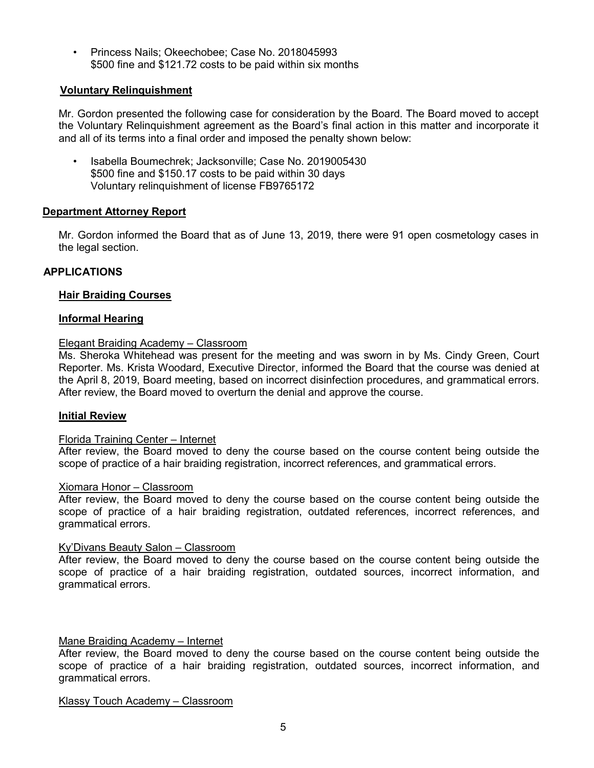• Princess Nails; Okeechobee; Case No. 2018045993 \$500 fine and \$121.72 costs to be paid within six months

# **Voluntary Relinquishment**

Mr. Gordon presented the following case for consideration by the Board. The Board moved to accept the Voluntary Relinquishment agreement as the Board's final action in this matter and incorporate it and all of its terms into a final order and imposed the penalty shown below:

• Isabella Boumechrek; Jacksonville; Case No. 2019005430 \$500 fine and \$150.17 costs to be paid within 30 days Voluntary relinquishment of license FB9765172

# **Department Attorney Report**

Mr. Gordon informed the Board that as of June 13, 2019, there were 91 open cosmetology cases in the legal section.

# **APPLICATIONS**

#### **Hair Braiding Courses**

#### **Informal Hearing**

# Elegant Braiding Academy – Classroom

Ms. Sheroka Whitehead was present for the meeting and was sworn in by Ms. Cindy Green, Court Reporter. Ms. Krista Woodard, Executive Director, informed the Board that the course was denied at the April 8, 2019, Board meeting, based on incorrect disinfection procedures, and grammatical errors. After review, the Board moved to overturn the denial and approve the course.

#### **Initial Review**

#### Florida Training Center – Internet

After review, the Board moved to deny the course based on the course content being outside the scope of practice of a hair braiding registration, incorrect references, and grammatical errors.

#### Xiomara Honor – Classroom

After review, the Board moved to deny the course based on the course content being outside the scope of practice of a hair braiding registration, outdated references, incorrect references, and grammatical errors.

#### Ky'Divans Beauty Salon – Classroom

After review, the Board moved to deny the course based on the course content being outside the scope of practice of a hair braiding registration, outdated sources, incorrect information, and grammatical errors.

#### Mane Braiding Academy – Internet

After review, the Board moved to deny the course based on the course content being outside the scope of practice of a hair braiding registration, outdated sources, incorrect information, and grammatical errors.

Klassy Touch Academy – Classroom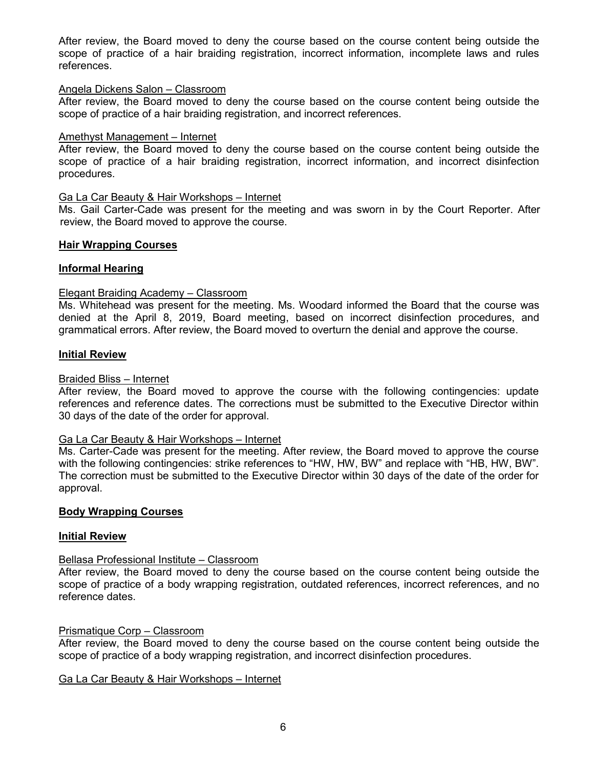After review, the Board moved to deny the course based on the course content being outside the scope of practice of a hair braiding registration, incorrect information, incomplete laws and rules references.

#### Angela Dickens Salon – Classroom

After review, the Board moved to deny the course based on the course content being outside the scope of practice of a hair braiding registration, and incorrect references.

#### Amethyst Management – Internet

After review, the Board moved to deny the course based on the course content being outside the scope of practice of a hair braiding registration, incorrect information, and incorrect disinfection procedures.

#### Ga La Car Beauty & Hair Workshops – Internet

Ms. Gail Carter-Cade was present for the meeting and was sworn in by the Court Reporter. After review, the Board moved to approve the course.

#### **Hair Wrapping Courses**

#### **Informal Hearing**

#### Elegant Braiding Academy – Classroom

Ms. Whitehead was present for the meeting. Ms. Woodard informed the Board that the course was denied at the April 8, 2019, Board meeting, based on incorrect disinfection procedures, and grammatical errors. After review, the Board moved to overturn the denial and approve the course.

#### **Initial Review**

#### Braided Bliss – Internet

After review, the Board moved to approve the course with the following contingencies: update references and reference dates. The corrections must be submitted to the Executive Director within 30 days of the date of the order for approval.

#### Ga La Car Beauty & Hair Workshops – Internet

Ms. Carter-Cade was present for the meeting. After review, the Board moved to approve the course with the following contingencies: strike references to "HW, HW, BW" and replace with "HB, HW, BW". The correction must be submitted to the Executive Director within 30 days of the date of the order for approval.

#### **Body Wrapping Courses**

#### **Initial Review**

#### Bellasa Professional Institute – Classroom

After review, the Board moved to deny the course based on the course content being outside the scope of practice of a body wrapping registration, outdated references, incorrect references, and no reference dates.

#### Prismatique Corp – Classroom

After review, the Board moved to deny the course based on the course content being outside the scope of practice of a body wrapping registration, and incorrect disinfection procedures.

#### Ga La Car Beauty & Hair Workshops – Internet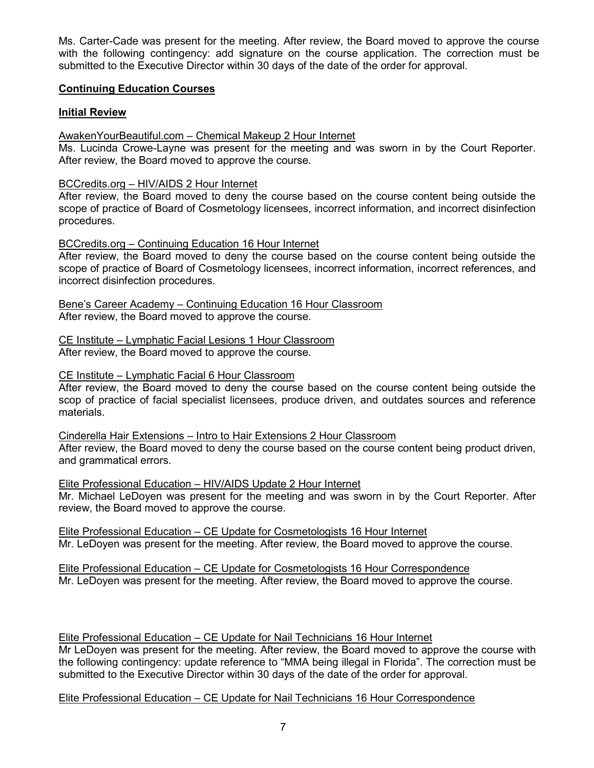Ms. Carter-Cade was present for the meeting. After review, the Board moved to approve the course with the following contingency: add signature on the course application. The correction must be submitted to the Executive Director within 30 days of the date of the order for approval.

# **Continuing Education Courses**

# **Initial Review**

AwakenYourBeautiful.com – Chemical Makeup 2 Hour Internet

Ms. Lucinda Crowe-Layne was present for the meeting and was sworn in by the Court Reporter. After review, the Board moved to approve the course.

# BCCredits.org – HIV/AIDS 2 Hour Internet

After review, the Board moved to deny the course based on the course content being outside the scope of practice of Board of Cosmetology licensees, incorrect information, and incorrect disinfection procedures.

# BCCredits.org – Continuing Education 16 Hour Internet

After review, the Board moved to deny the course based on the course content being outside the scope of practice of Board of Cosmetology licensees, incorrect information, incorrect references, and incorrect disinfection procedures.

Bene's Career Academy – Continuing Education 16 Hour Classroom After review, the Board moved to approve the course.

CE Institute – Lymphatic Facial Lesions 1 Hour Classroom After review, the Board moved to approve the course.

# CE Institute – Lymphatic Facial 6 Hour Classroom

After review, the Board moved to deny the course based on the course content being outside the scop of practice of facial specialist licensees, produce driven, and outdates sources and reference materials.

Cinderella Hair Extensions – Intro to Hair Extensions 2 Hour Classroom After review, the Board moved to deny the course based on the course content being product driven,

and grammatical errors.

Elite Professional Education – HIV/AIDS Update 2 Hour Internet

Mr. Michael LeDoyen was present for the meeting and was sworn in by the Court Reporter. After review, the Board moved to approve the course.

Elite Professional Education – CE Update for Cosmetologists 16 Hour Internet Mr. LeDoyen was present for the meeting. After review, the Board moved to approve the course.

Elite Professional Education – CE Update for Cosmetologists 16 Hour Correspondence Mr. LeDoyen was present for the meeting. After review, the Board moved to approve the course.

# Elite Professional Education – CE Update for Nail Technicians 16 Hour Internet

Mr LeDoyen was present for the meeting. After review, the Board moved to approve the course with the following contingency: update reference to "MMA being illegal in Florida". The correction must be submitted to the Executive Director within 30 days of the date of the order for approval.

Elite Professional Education – CE Update for Nail Technicians 16 Hour Correspondence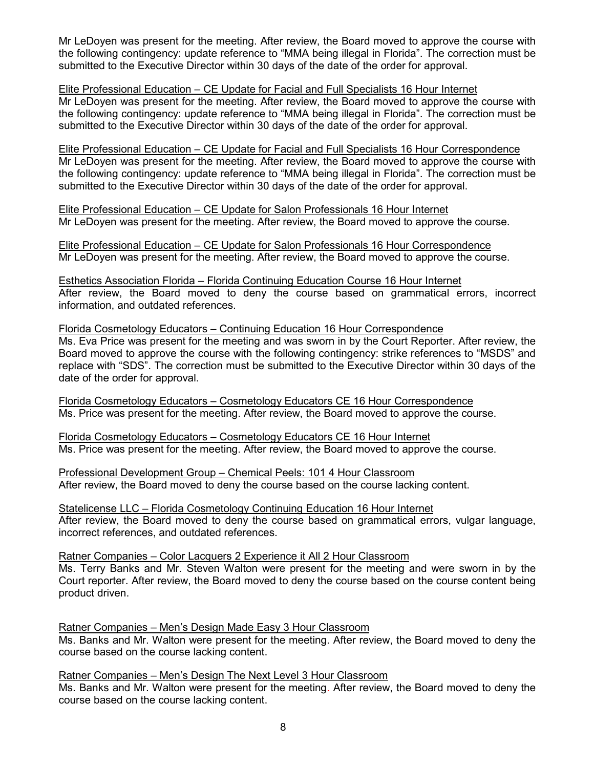Mr LeDoyen was present for the meeting. After review, the Board moved to approve the course with the following contingency: update reference to "MMA being illegal in Florida". The correction must be submitted to the Executive Director within 30 days of the date of the order for approval.

#### Elite Professional Education – CE Update for Facial and Full Specialists 16 Hour Internet

Mr LeDoyen was present for the meeting. After review, the Board moved to approve the course with the following contingency: update reference to "MMA being illegal in Florida". The correction must be submitted to the Executive Director within 30 days of the date of the order for approval.

Elite Professional Education – CE Update for Facial and Full Specialists 16 Hour Correspondence Mr LeDoyen was present for the meeting. After review, the Board moved to approve the course with the following contingency: update reference to "MMA being illegal in Florida". The correction must be submitted to the Executive Director within 30 days of the date of the order for approval.

Elite Professional Education – CE Update for Salon Professionals 16 Hour Internet Mr LeDoyen was present for the meeting. After review, the Board moved to approve the course.

Elite Professional Education – CE Update for Salon Professionals 16 Hour Correspondence Mr LeDoyen was present for the meeting. After review, the Board moved to approve the course.

Esthetics Association Florida – Florida Continuing Education Course 16 Hour Internet After review, the Board moved to deny the course based on grammatical errors, incorrect information, and outdated references.

#### Florida Cosmetology Educators – Continuing Education 16 Hour Correspondence

Ms. Eva Price was present for the meeting and was sworn in by the Court Reporter. After review, the Board moved to approve the course with the following contingency: strike references to "MSDS" and replace with "SDS". The correction must be submitted to the Executive Director within 30 days of the date of the order for approval.

Florida Cosmetology Educators – Cosmetology Educators CE 16 Hour Correspondence Ms. Price was present for the meeting. After review, the Board moved to approve the course.

Florida Cosmetology Educators – Cosmetology Educators CE 16 Hour Internet Ms. Price was present for the meeting. After review, the Board moved to approve the course.

Professional Development Group – Chemical Peels: 101 4 Hour Classroom After review, the Board moved to deny the course based on the course lacking content.

Statelicense LLC – Florida Cosmetology Continuing Education 16 Hour Internet After review, the Board moved to deny the course based on grammatical errors, vulgar language, incorrect references, and outdated references.

Ratner Companies – Color Lacquers 2 Experience it All 2 Hour Classroom Ms. Terry Banks and Mr. Steven Walton were present for the meeting and were sworn in by the Court reporter. After review, the Board moved to deny the course based on the course content being product driven.

Ratner Companies – Men's Design Made Easy 3 Hour Classroom

Ms. Banks and Mr. Walton were present for the meeting. After review, the Board moved to deny the course based on the course lacking content.

Ratner Companies – Men's Design The Next Level 3 Hour Classroom

Ms. Banks and Mr. Walton were present for the meeting. After review, the Board moved to deny the course based on the course lacking content.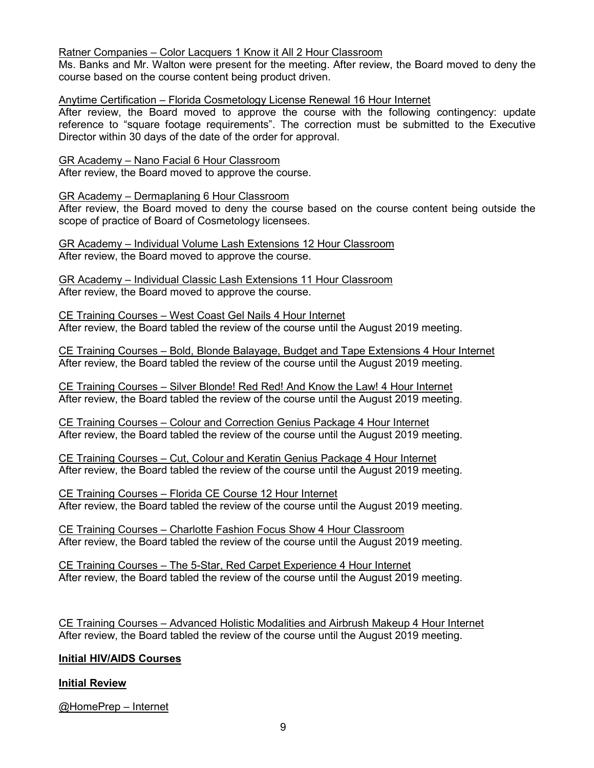# Ratner Companies – Color Lacquers 1 Know it All 2 Hour Classroom

Ms. Banks and Mr. Walton were present for the meeting. After review, the Board moved to deny the course based on the course content being product driven.

# Anytime Certification – Florida Cosmetology License Renewal 16 Hour Internet

After review, the Board moved to approve the course with the following contingency: update reference to "square footage requirements". The correction must be submitted to the Executive Director within 30 days of the date of the order for approval.

GR Academy – Nano Facial 6 Hour Classroom After review, the Board moved to approve the course.

GR Academy – Dermaplaning 6 Hour Classroom

After review, the Board moved to deny the course based on the course content being outside the scope of practice of Board of Cosmetology licensees.

GR Academy – Individual Volume Lash Extensions 12 Hour Classroom After review, the Board moved to approve the course.

GR Academy – Individual Classic Lash Extensions 11 Hour Classroom After review, the Board moved to approve the course.

CE Training Courses – West Coast Gel Nails 4 Hour Internet After review, the Board tabled the review of the course until the August 2019 meeting.

CE Training Courses – Bold, Blonde Balayage, Budget and Tape Extensions 4 Hour Internet After review, the Board tabled the review of the course until the August 2019 meeting.

CE Training Courses – Silver Blonde! Red Red! And Know the Law! 4 Hour Internet After review, the Board tabled the review of the course until the August 2019 meeting.

CE Training Courses – Colour and Correction Genius Package 4 Hour Internet After review, the Board tabled the review of the course until the August 2019 meeting.

CE Training Courses – Cut, Colour and Keratin Genius Package 4 Hour Internet After review, the Board tabled the review of the course until the August 2019 meeting.

CE Training Courses – Florida CE Course 12 Hour Internet After review, the Board tabled the review of the course until the August 2019 meeting.

CE Training Courses – Charlotte Fashion Focus Show 4 Hour Classroom After review, the Board tabled the review of the course until the August 2019 meeting.

CE Training Courses – The 5-Star, Red Carpet Experience 4 Hour Internet After review, the Board tabled the review of the course until the August 2019 meeting.

CE Training Courses – Advanced Holistic Modalities and Airbrush Makeup 4 Hour Internet After review, the Board tabled the review of the course until the August 2019 meeting.

# **Initial HIV/AIDS Courses**

# **Initial Review**

@HomePrep – Internet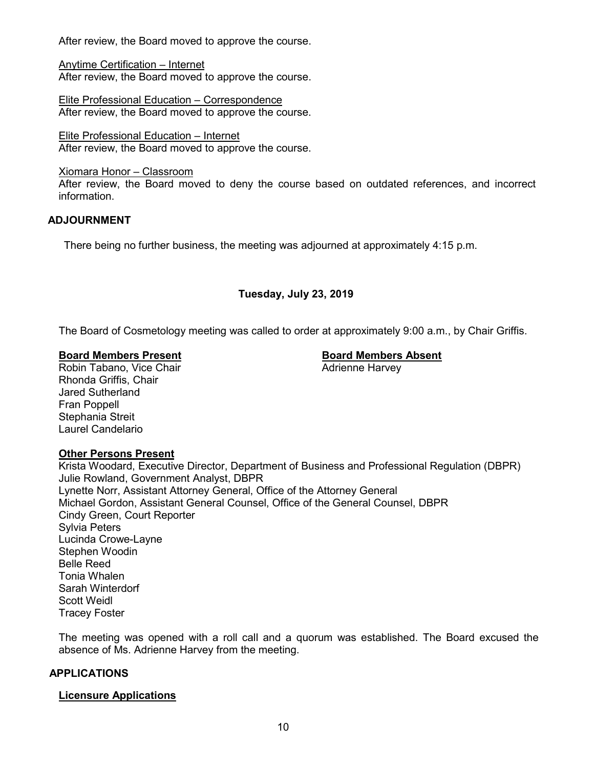After review, the Board moved to approve the course.

Anytime Certification – Internet After review, the Board moved to approve the course.

Elite Professional Education – Correspondence After review, the Board moved to approve the course.

Elite Professional Education – Internet After review, the Board moved to approve the course.

Xiomara Honor – Classroom

After review, the Board moved to deny the course based on outdated references, and incorrect information.

# **ADJOURNMENT**

There being no further business, the meeting was adjourned at approximately 4:15 p.m.

# **Tuesday, July 23, 2019**

The Board of Cosmetology meeting was called to order at approximately 9:00 a.m., by Chair Griffis.

**Board Members Present Board Members Absent** Robin Tabano, Vice Chair Rhonda Griffis, Chair Jared Sutherland Fran Poppell Stephania Streit Laurel Candelario

#### **Other Persons Present**

Krista Woodard, Executive Director, Department of Business and Professional Regulation (DBPR) Julie Rowland, Government Analyst, DBPR Lynette Norr, Assistant Attorney General, Office of the Attorney General Michael Gordon, Assistant General Counsel, Office of the General Counsel, DBPR Cindy Green, Court Reporter Sylvia Peters Lucinda Crowe-Layne Stephen Woodin Belle Reed Tonia Whalen Sarah Winterdorf Scott Weidl Tracey Foster

The meeting was opened with a roll call and a quorum was established. The Board excused the absence of Ms. Adrienne Harvey from the meeting.

#### **APPLICATIONS**

#### **Licensure Applications**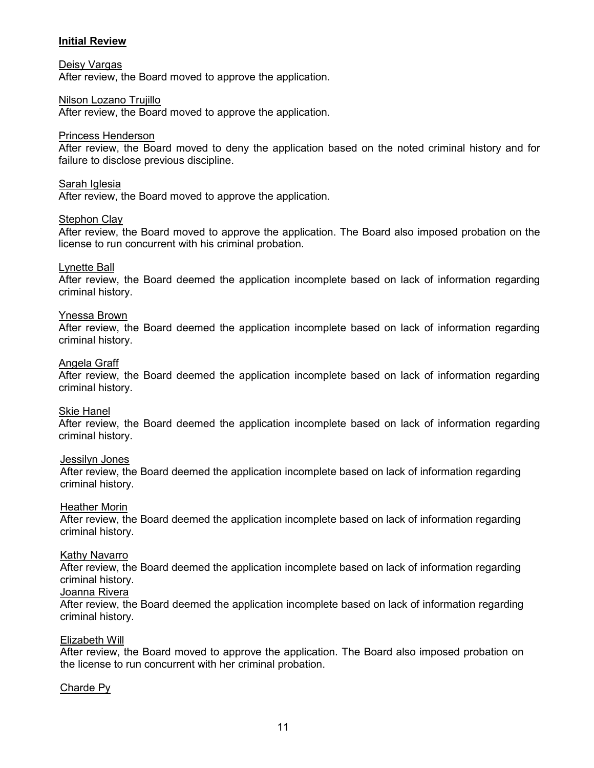# **Initial Review**

#### Deisy Vargas

After review, the Board moved to approve the application.

#### Nilson Lozano Trujillo

After review, the Board moved to approve the application.

#### Princess Henderson

After review, the Board moved to deny the application based on the noted criminal history and for failure to disclose previous discipline.

#### Sarah Iglesia

After review, the Board moved to approve the application.

#### **Stephon Clay**

After review, the Board moved to approve the application. The Board also imposed probation on the license to run concurrent with his criminal probation.

#### Lynette Ball

After review, the Board deemed the application incomplete based on lack of information regarding criminal history.

#### Ynessa Brown

After review, the Board deemed the application incomplete based on lack of information regarding criminal history.

#### Angela Graff

After review, the Board deemed the application incomplete based on lack of information regarding criminal history.

#### Skie Hanel

After review, the Board deemed the application incomplete based on lack of information regarding criminal history.

#### Jessilyn Jones

After review, the Board deemed the application incomplete based on lack of information regarding criminal history.

#### Heather Morin

After review, the Board deemed the application incomplete based on lack of information regarding criminal history.

#### Kathy Navarro

After review, the Board deemed the application incomplete based on lack of information regarding criminal history.

#### Joanna Rivera

After review, the Board deemed the application incomplete based on lack of information regarding criminal history.

#### Elizabeth Will

After review, the Board moved to approve the application. The Board also imposed probation on the license to run concurrent with her criminal probation.

#### Charde Py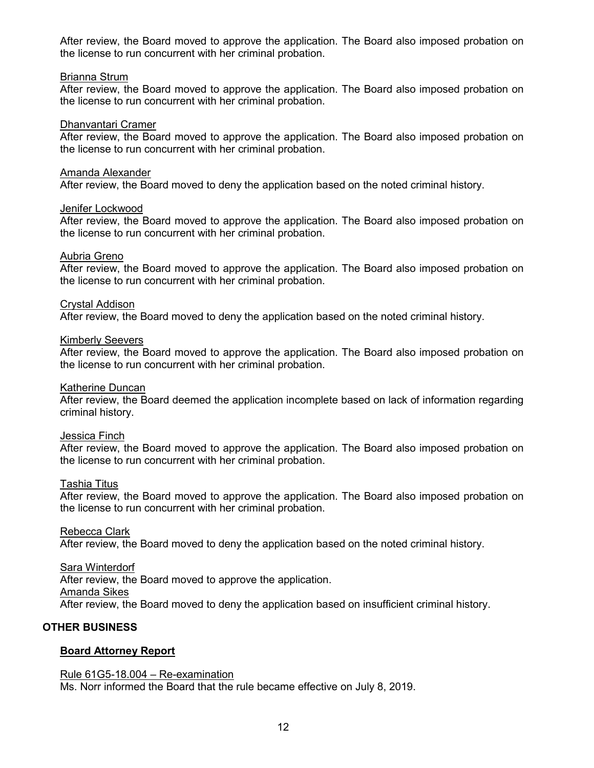After review, the Board moved to approve the application. The Board also imposed probation on the license to run concurrent with her criminal probation.

#### Brianna Strum

After review, the Board moved to approve the application. The Board also imposed probation on the license to run concurrent with her criminal probation.

#### Dhanvantari Cramer

After review, the Board moved to approve the application. The Board also imposed probation on the license to run concurrent with her criminal probation.

#### Amanda Alexander

After review, the Board moved to deny the application based on the noted criminal history.

#### Jenifer Lockwood

After review, the Board moved to approve the application. The Board also imposed probation on the license to run concurrent with her criminal probation.

#### Aubria Greno

After review, the Board moved to approve the application. The Board also imposed probation on the license to run concurrent with her criminal probation.

# Crystal Addison

After review, the Board moved to deny the application based on the noted criminal history.

#### Kimberly Seevers

After review, the Board moved to approve the application. The Board also imposed probation on the license to run concurrent with her criminal probation.

#### Katherine Duncan

After review, the Board deemed the application incomplete based on lack of information regarding criminal history.

## Jessica Finch

After review, the Board moved to approve the application. The Board also imposed probation on the license to run concurrent with her criminal probation.

#### Tashia Titus

After review, the Board moved to approve the application. The Board also imposed probation on the license to run concurrent with her criminal probation.

#### Rebecca Clark

After review, the Board moved to deny the application based on the noted criminal history.

# Sara Winterdorf

After review, the Board moved to approve the application.

#### Amanda Sikes

After review, the Board moved to deny the application based on insufficient criminal history.

# **OTHER BUSINESS**

# **Board Attorney Report**

#### Rule 61G5-18.004 – Re-examination

Ms. Norr informed the Board that the rule became effective on July 8, 2019.